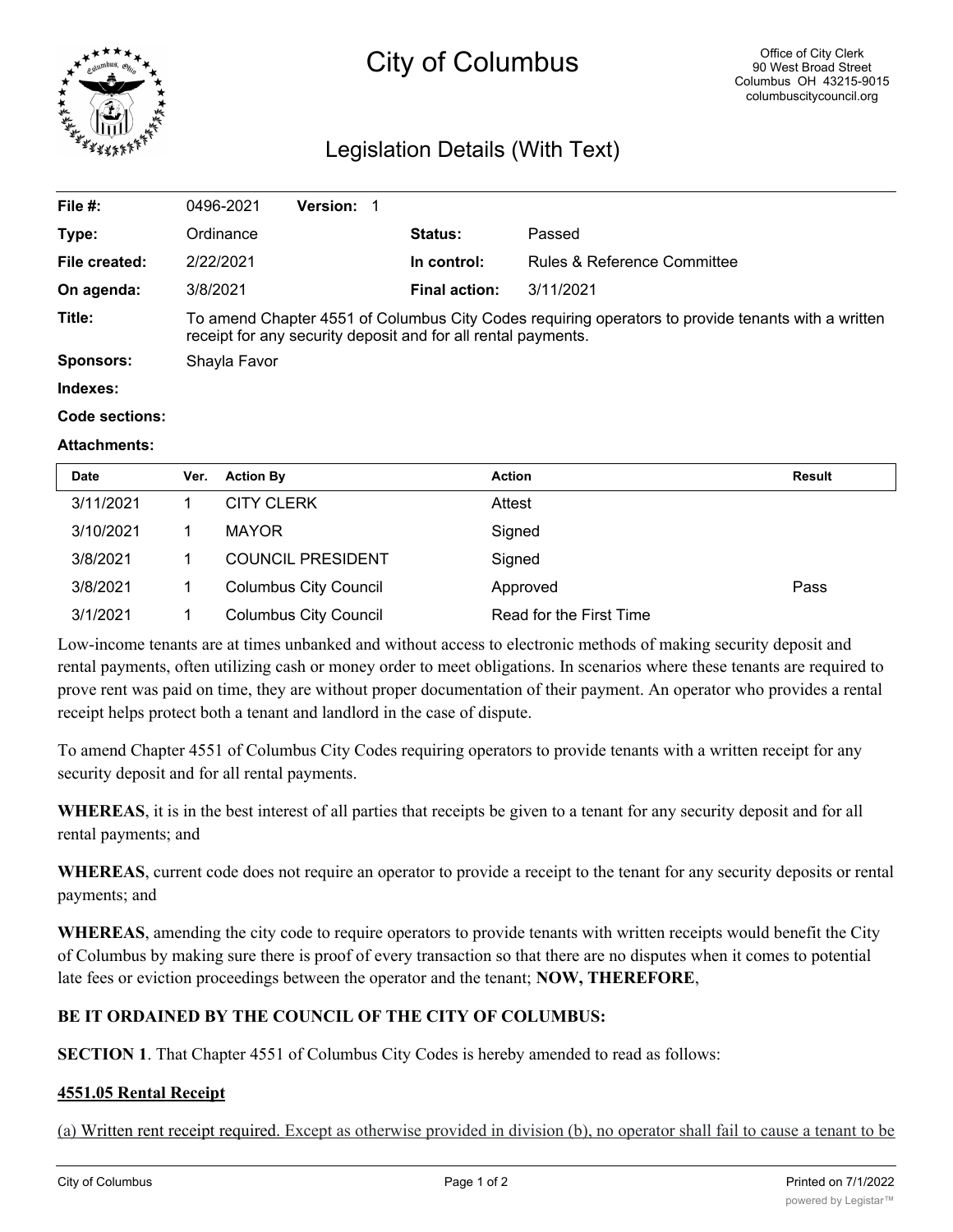

# City of Columbus

# Legislation Details (With Text)

| File $#$ :            | 0496-2021                                                                                                                                                           | <b>Version: 1</b> |  |                      |                             |  |
|-----------------------|---------------------------------------------------------------------------------------------------------------------------------------------------------------------|-------------------|--|----------------------|-----------------------------|--|
| Type:                 | Ordinance                                                                                                                                                           |                   |  | <b>Status:</b>       | Passed                      |  |
| File created:         | 2/22/2021                                                                                                                                                           |                   |  | In control:          | Rules & Reference Committee |  |
| On agenda:            | 3/8/2021                                                                                                                                                            |                   |  | <b>Final action:</b> | 3/11/2021                   |  |
| Title:                | To amend Chapter 4551 of Columbus City Codes requiring operators to provide tenants with a written<br>receipt for any security deposit and for all rental payments. |                   |  |                      |                             |  |
| <b>Sponsors:</b>      | Shayla Favor                                                                                                                                                        |                   |  |                      |                             |  |
| Indexes:              |                                                                                                                                                                     |                   |  |                      |                             |  |
| <b>Code sections:</b> |                                                                                                                                                                     |                   |  |                      |                             |  |

#### **Attachments:**

| <b>Date</b> | Ver. | <b>Action By</b>             | <b>Action</b>           | Result |
|-------------|------|------------------------------|-------------------------|--------|
| 3/11/2021   |      | <b>CITY CLERK</b>            | Attest                  |        |
| 3/10/2021   |      | <b>MAYOR</b>                 | Signed                  |        |
| 3/8/2021    |      | <b>COUNCIL PRESIDENT</b>     | Signed                  |        |
| 3/8/2021    |      | <b>Columbus City Council</b> | Approved                | Pass   |
| 3/1/2021    |      | <b>Columbus City Council</b> | Read for the First Time |        |

Low-income tenants are at times unbanked and without access to electronic methods of making security deposit and rental payments, often utilizing cash or money order to meet obligations. In scenarios where these tenants are required to prove rent was paid on time, they are without proper documentation of their payment. An operator who provides a rental receipt helps protect both a tenant and landlord in the case of dispute.

To amend Chapter 4551 of Columbus City Codes requiring operators to provide tenants with a written receipt for any security deposit and for all rental payments.

**WHEREAS**, it is in the best interest of all parties that receipts be given to a tenant for any security deposit and for all rental payments; and

**WHEREAS**, current code does not require an operator to provide a receipt to the tenant for any security deposits or rental payments; and

**WHEREAS**, amending the city code to require operators to provide tenants with written receipts would benefit the City of Columbus by making sure there is proof of every transaction so that there are no disputes when it comes to potential late fees or eviction proceedings between the operator and the tenant; **NOW, THEREFORE**,

# **BE IT ORDAINED BY THE COUNCIL OF THE CITY OF COLUMBUS:**

**SECTION 1**. That Chapter 4551 of Columbus City Codes is hereby amended to read as follows:

### **4551.05 Rental Receipt**

(a) Written rent receipt required. Except as otherwise provided in division (b), no operator shall fail to cause a tenant to be